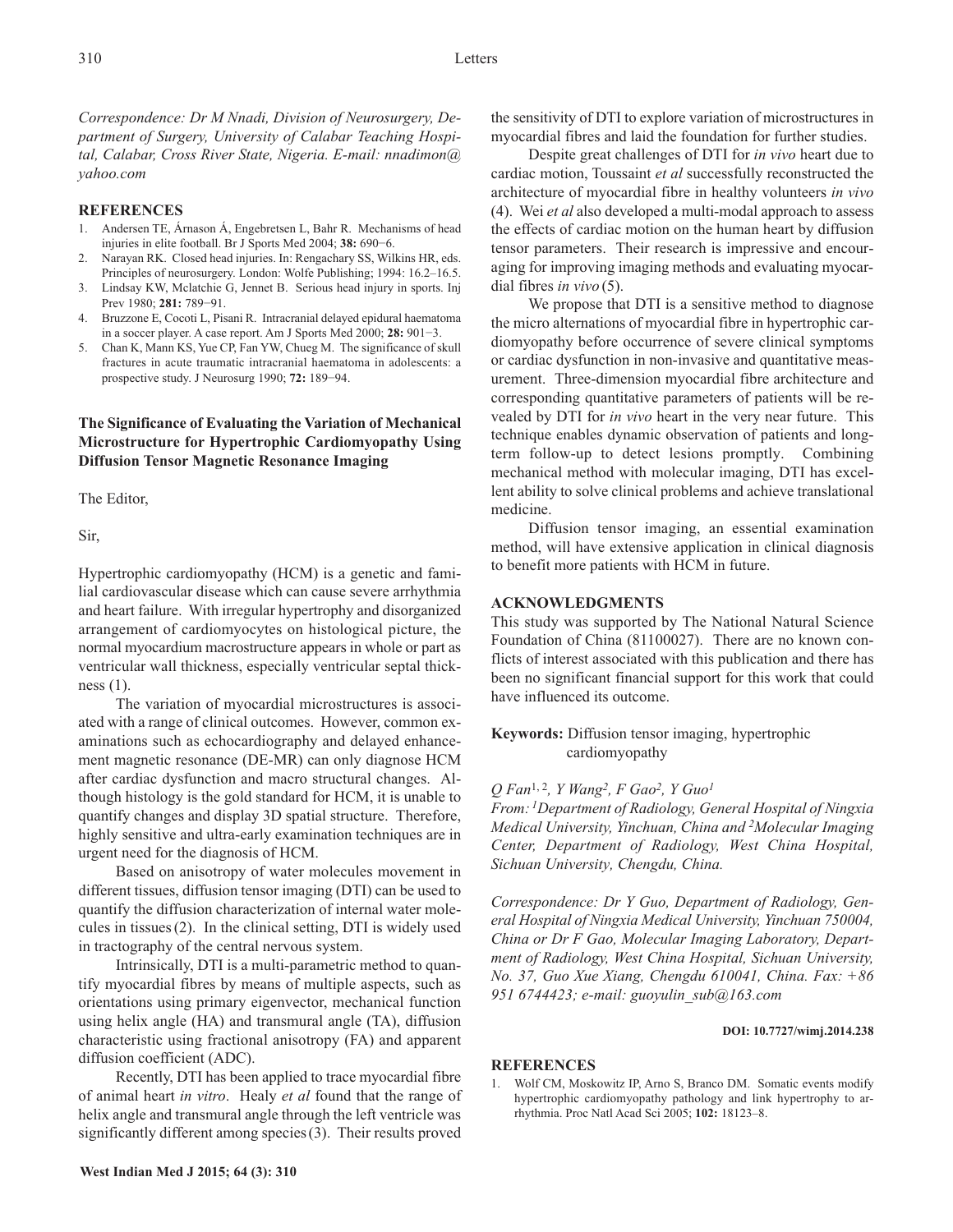*Correspondence: Dr M Nnadi, Division of Neurosurgery, Department of Surgery, University of Calabar Teaching Hospital, Calabar, Cross River State, Nigeria. E-mail: nnadimon@ yahoo.com*

## **REFERENCES**

- 1. Andersen TE, Árnason Á, Engebretsen L, Bahr R. Mechanisms of head injuries in elite football. Br J Sports Med 2004; **38:** 690−6.
- 2. Narayan RK. Closed head injuries. In: Rengachary SS, Wilkins HR, eds. Principles of neurosurgery. London: Wolfe Publishing; 1994: 16.2–16.5.
- 3. Lindsay KW, Mclatchie G, Jennet B. Serious head injury in sports. Inj Prev 1980; **281:** 789−91.
- 4. Bruzzone E, Cocoti L, Pisani R. Intracranial delayed epidural haematoma in a soccer player. A case report. Am J Sports Med 2000; **28:** 901−3.
- 5. Chan K, Mann KS, Yue CP, Fan YW, Chueg M. The significance of skull fractures in acute traumatic intracranial haematoma in adolescents: a prospective study. J Neurosurg 1990; **72:** 189−94.

# **The Significance of Evaluating the Variation of Mechanical Microstructure for Hypertrophic Cardiomyopathy Using Diffusion Tensor Magnetic Resonance Imaging**

The Editor,

Sir,

Hypertrophic cardiomyopathy (HCM) is a genetic and familial cardiovascular disease which can cause severe arrhythmia and heart failure. With irregular hypertrophy and disorganized arrangement of cardiomyocytes on histological picture, the normal myocardium macrostructure appears in whole or part as ventricular wall thickness, especially ventricular septal thickness (1).

The variation of myocardial microstructures is associated with a range of clinical outcomes. However, common examinations such as echocardiography and delayed enhancement magnetic resonance (DE-MR) can only diagnose HCM after cardiac dysfunction and macro structural changes. Although histology is the gold standard for HCM, it is unable to quantify changes and display 3D spatial structure. Therefore, highly sensitive and ultra-early examination techniques are in urgent need for the diagnosis of HCM.

Based on anisotropy of water molecules movement in different tissues, diffusion tensor imaging (DTI) can be used to quantify the diffusion characterization of internal water molecules in tissues(2). In the clinical setting, DTI is widely used in tractography of the central nervous system.

Intrinsically, DTI is a multi-parametric method to quantify myocardial fibres by means of multiple aspects, such as orientations using primary eigenvector, mechanical function using helix angle (HA) and transmural angle (TA), diffusion characteristic using fractional anisotropy (FA) and apparent diffusion coefficient (ADC).

Recently, DTI has been applied to trace myocardial fibre of animal heart *in vitro*. Healy *et al* found that the range of helix angle and transmural angle through the left ventricle was significantly different among species(3). Their results proved

the sensitivity of DTI to explore variation of microstructures in myocardial fibres and laid the foundation for further studies.

Despite great challenges of DTI for *in vivo* heart due to cardiac motion, Toussaint *et al* successfully reconstructed the architecture of myocardial fibre in healthy volunteers *in vivo* (4). Wei *et al* also developed a multi-modal approach to assess the effects of cardiac motion on the human heart by diffusion tensor parameters. Their research is impressive and encouraging for improving imaging methods and evaluating myocardial fibres *in vivo* (5).

We propose that DTI is a sensitive method to diagnose the micro alternations of myocardial fibre in hypertrophic cardiomyopathy before occurrence of severe clinical symptoms or cardiac dysfunction in non-invasive and quantitative measurement. Three-dimension myocardial fibre architecture and corresponding quantitative parameters of patients will be revealed by DTI for *in vivo* heart in the very near future. This technique enables dynamic observation of patients and longterm follow-up to detect lesions promptly. Combining mechanical method with molecular imaging, DTI has excellent ability to solve clinical problems and achieve translational medicine.

Diffusion tensor imaging, an essential examination method, will have extensive application in clinical diagnosis to benefit more patients with HCM in future.

# **ACKNOWLEDGMENTS**

This study was supported by The National Natural Science Foundation of China (81100027). There are no known conflicts of interest associated with this publication and there has been no significant financial support for this work that could have influenced its outcome.

**Keywords:** Diffusion tensor imaging, hypertrophic cardiomyopathy

# *Q Fan*1, <sup>2</sup>*, Y Wang2, F Gao2, Y Guo1*

*From: 1Department of Radiology, General Hospital of Ningxia Medical University, Yinchuan, China and 2Molecular Imaging Center, Department of Radiology, West China Hospital, Sichuan University, Chengdu, China.*

*Correspondence: Dr Y Guo, Department of Radiology, General Hospital of Ningxia Medical University, Yinchuan 750004, China or Dr F Gao, Molecular Imaging Laboratory, Department of Radiology, West China Hospital, Sichuan University, No. 37, Guo Xue Xiang, Chengdu 610041, China. Fax: +86 951 6744423; e-mail: guoyulin\_sub@163.com*

#### **DOI: 10.7727/wimj.2014.238**

# **REFERENCES**

1. Wolf CM, Moskowitz IP, Arno S, Branco DM. Somatic events modify hypertrophic cardiomyopathy pathology and link hypertrophy to arrhythmia. Proc Natl Acad Sci 2005; **102:** 18123–8.